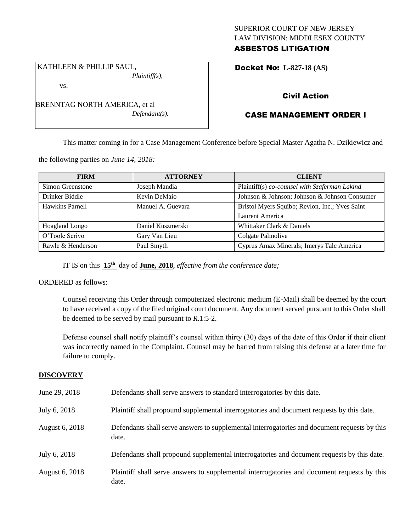## SUPERIOR COURT OF NEW JERSEY LAW DIVISION: MIDDLESEX COUNTY ASBESTOS LITIGATION

Docket No: **L-827-18 (AS)** 

# vs.

BRENNTAG NORTH AMERICA, et al *Defendant(s).*

*Plaintiff(s),*

KATHLEEN & PHILLIP SAUL,

# Civil Action

# CASE MANAGEMENT ORDER I

This matter coming in for a Case Management Conference before Special Master Agatha N. Dzikiewicz and

the following parties on *June 14, 2018:*

| <b>FIRM</b>       | <b>ATTORNEY</b>   | <b>CLIENT</b>                                  |
|-------------------|-------------------|------------------------------------------------|
| Simon Greenstone  | Joseph Mandia     | Plaintiff(s) co-counsel with Szaferman Lakind  |
| Drinker Biddle    | Kevin DeMaio      | Johnson & Johnson; Johnson & Johnson Consumer  |
| Hawkins Parnell   | Manuel A. Guevara | Bristol Myers Squibb; Revlon, Inc.; Yves Saint |
|                   |                   | Laurent America                                |
| Hoagland Longo    | Daniel Kuszmerski | Whittaker Clark & Daniels                      |
| O'Toole Scrivo    | Gary Van Lieu     | Colgate Palmolive                              |
| Rawle & Henderson | Paul Smyth        | Cyprus Amax Minerals; Imerys Talc America      |

IT IS on this **15th** day of **June, 2018**, *effective from the conference date;*

ORDERED as follows:

Counsel receiving this Order through computerized electronic medium (E-Mail) shall be deemed by the court to have received a copy of the filed original court document. Any document served pursuant to this Order shall be deemed to be served by mail pursuant to *R*.1:5-2.

Defense counsel shall notify plaintiff's counsel within thirty (30) days of the date of this Order if their client was incorrectly named in the Complaint. Counsel may be barred from raising this defense at a later time for failure to comply.

#### **DISCOVERY**

| June 29, 2018  | Defendants shall serve answers to standard interrogatories by this date.                              |
|----------------|-------------------------------------------------------------------------------------------------------|
| July 6, 2018   | Plaintiff shall propound supplemental interrogatories and document requests by this date.             |
| August 6, 2018 | Defendants shall serve answers to supplemental interrogatories and document requests by this<br>date. |
| July 6, 2018   | Defendants shall propound supplemental interrogatories and document requests by this date.            |
| August 6, 2018 | Plaintiff shall serve answers to supplemental interrogatories and document requests by this<br>date.  |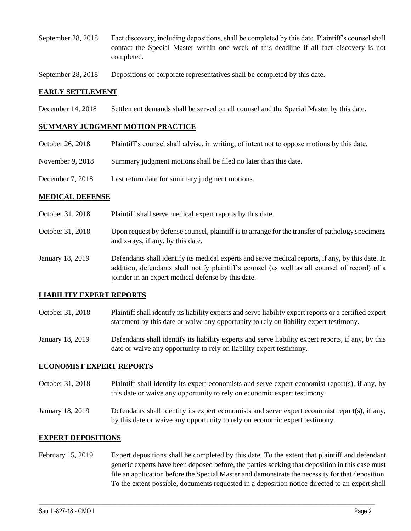- September 28, 2018 Fact discovery, including depositions, shall be completed by this date. Plaintiff's counsel shall contact the Special Master within one week of this deadline if all fact discovery is not completed.
- September 28, 2018 Depositions of corporate representatives shall be completed by this date.

#### **EARLY SETTLEMENT**

December 14, 2018 Settlement demands shall be served on all counsel and the Special Master by this date.

#### **SUMMARY JUDGMENT MOTION PRACTICE**

- October 26, 2018 Plaintiff's counsel shall advise, in writing, of intent not to oppose motions by this date.
- November 9, 2018 Summary judgment motions shall be filed no later than this date.
- December 7, 2018 Last return date for summary judgment motions.

#### **MEDICAL DEFENSE**

- October 31, 2018 Plaintiff shall serve medical expert reports by this date.
- October 31, 2018 Upon request by defense counsel, plaintiff is to arrange for the transfer of pathology specimens and x-rays, if any, by this date.
- January 18, 2019 Defendants shall identify its medical experts and serve medical reports, if any, by this date. In addition, defendants shall notify plaintiff's counsel (as well as all counsel of record) of a joinder in an expert medical defense by this date.

### **LIABILITY EXPERT REPORTS**

- October 31, 2018 Plaintiff shall identify its liability experts and serve liability expert reports or a certified expert statement by this date or waive any opportunity to rely on liability expert testimony.
- January 18, 2019 Defendants shall identify its liability experts and serve liability expert reports, if any, by this date or waive any opportunity to rely on liability expert testimony.

#### **ECONOMIST EXPERT REPORTS**

- October 31, 2018 Plaintiff shall identify its expert economists and serve expert economist report(s), if any, by this date or waive any opportunity to rely on economic expert testimony.
- January 18, 2019 Defendants shall identify its expert economists and serve expert economist report(s), if any, by this date or waive any opportunity to rely on economic expert testimony.

#### **EXPERT DEPOSITIONS**

February 15, 2019 Expert depositions shall be completed by this date. To the extent that plaintiff and defendant generic experts have been deposed before, the parties seeking that deposition in this case must file an application before the Special Master and demonstrate the necessity for that deposition. To the extent possible, documents requested in a deposition notice directed to an expert shall

 $\_$  ,  $\_$  ,  $\_$  ,  $\_$  ,  $\_$  ,  $\_$  ,  $\_$  ,  $\_$  ,  $\_$  ,  $\_$  ,  $\_$  ,  $\_$  ,  $\_$  ,  $\_$  ,  $\_$  ,  $\_$  ,  $\_$  ,  $\_$  ,  $\_$  ,  $\_$  ,  $\_$  ,  $\_$  ,  $\_$  ,  $\_$  ,  $\_$  ,  $\_$  ,  $\_$  ,  $\_$  ,  $\_$  ,  $\_$  ,  $\_$  ,  $\_$  ,  $\_$  ,  $\_$  ,  $\_$  ,  $\_$  ,  $\_$  ,